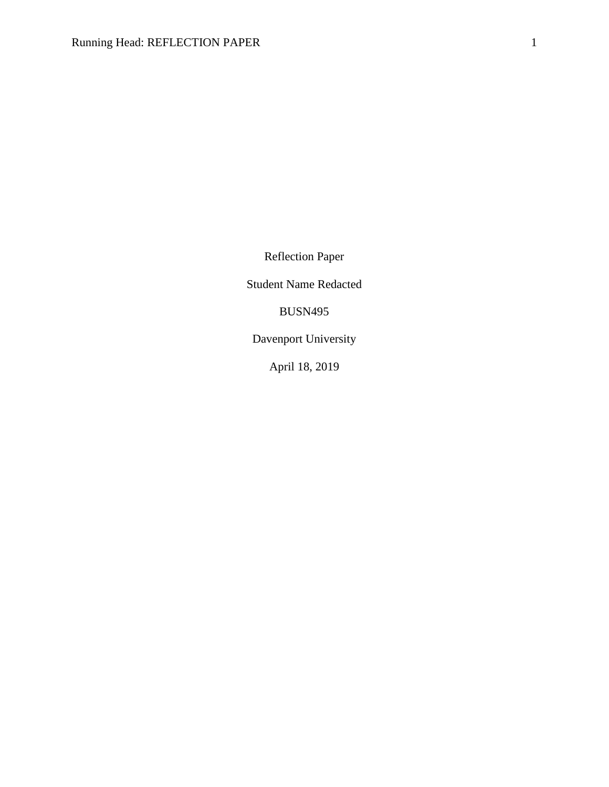Reflection Paper

Student Name Redacted

BUSN495

Davenport University

April 18, 2019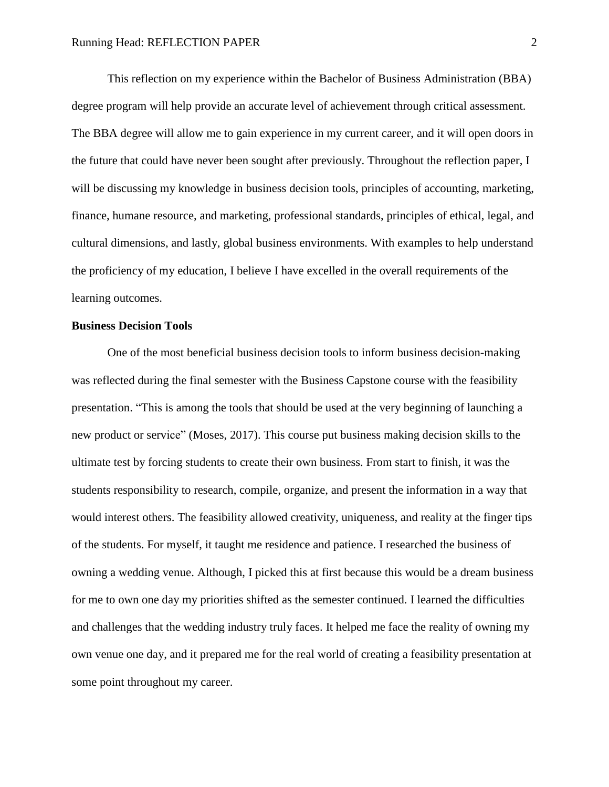This reflection on my experience within the Bachelor of Business Administration (BBA) degree program will help provide an accurate level of achievement through critical assessment. The BBA degree will allow me to gain experience in my current career, and it will open doors in the future that could have never been sought after previously. Throughout the reflection paper, I will be discussing my knowledge in business decision tools, principles of accounting, marketing, finance, humane resource, and marketing, professional standards, principles of ethical, legal, and cultural dimensions, and lastly, global business environments. With examples to help understand the proficiency of my education, I believe I have excelled in the overall requirements of the learning outcomes.

### **Business Decision Tools**

One of the most beneficial business decision tools to inform business decision-making was reflected during the final semester with the Business Capstone course with the feasibility presentation. "This is among the tools that should be used at the very beginning of launching a new product or service" (Moses, 2017). This course put business making decision skills to the ultimate test by forcing students to create their own business. From start to finish, it was the students responsibility to research, compile, organize, and present the information in a way that would interest others. The feasibility allowed creativity, uniqueness, and reality at the finger tips of the students. For myself, it taught me residence and patience. I researched the business of owning a wedding venue. Although, I picked this at first because this would be a dream business for me to own one day my priorities shifted as the semester continued. I learned the difficulties and challenges that the wedding industry truly faces. It helped me face the reality of owning my own venue one day, and it prepared me for the real world of creating a feasibility presentation at some point throughout my career.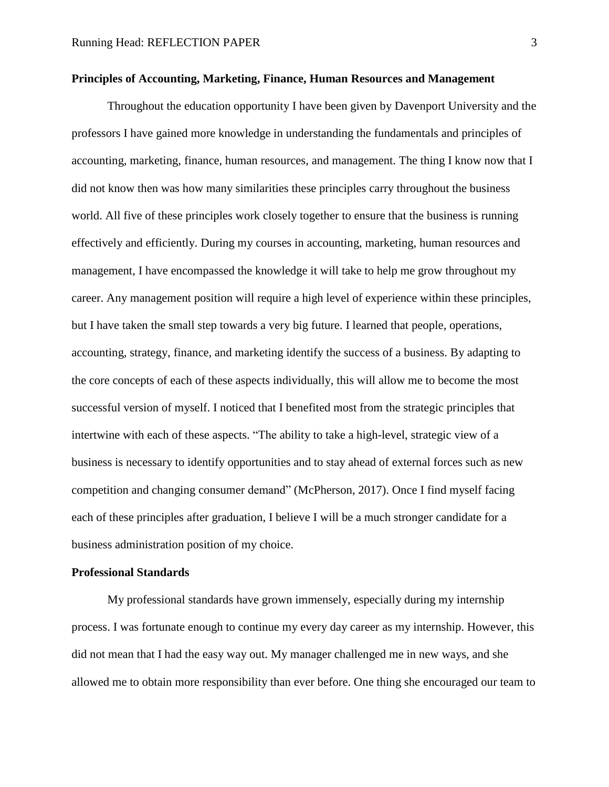### **Principles of Accounting, Marketing, Finance, Human Resources and Management**

Throughout the education opportunity I have been given by Davenport University and the professors I have gained more knowledge in understanding the fundamentals and principles of accounting, marketing, finance, human resources, and management. The thing I know now that I did not know then was how many similarities these principles carry throughout the business world. All five of these principles work closely together to ensure that the business is running effectively and efficiently. During my courses in accounting, marketing, human resources and management, I have encompassed the knowledge it will take to help me grow throughout my career. Any management position will require a high level of experience within these principles, but I have taken the small step towards a very big future. I learned that people, operations, accounting, strategy, finance, and marketing identify the success of a business. By adapting to the core concepts of each of these aspects individually, this will allow me to become the most successful version of myself. I noticed that I benefited most from the strategic principles that intertwine with each of these aspects. "The ability to take a high-level, strategic view of a business is necessary to identify opportunities and to stay ahead of external forces such as new competition and changing consumer demand" (McPherson, 2017). Once I find myself facing each of these principles after graduation, I believe I will be a much stronger candidate for a business administration position of my choice.

#### **Professional Standards**

My professional standards have grown immensely, especially during my internship process. I was fortunate enough to continue my every day career as my internship. However, this did not mean that I had the easy way out. My manager challenged me in new ways, and she allowed me to obtain more responsibility than ever before. One thing she encouraged our team to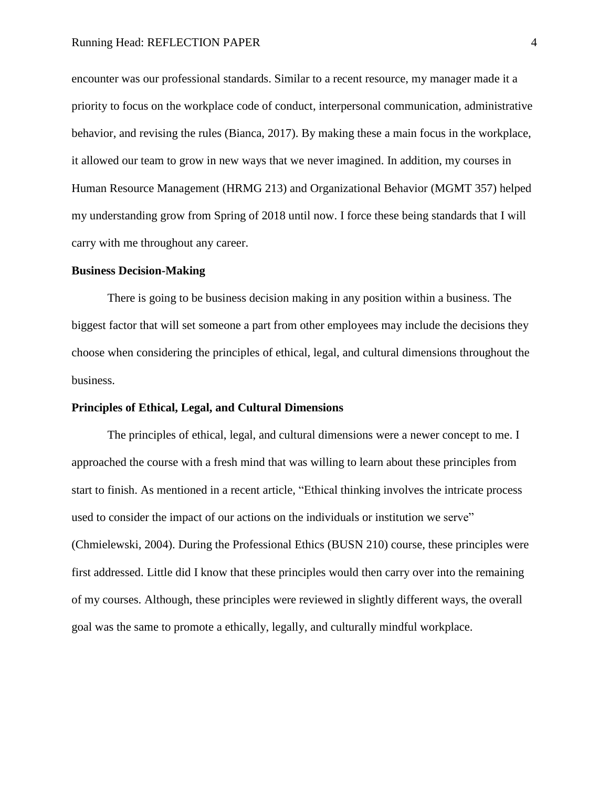encounter was our professional standards. Similar to a recent resource, my manager made it a priority to focus on the workplace code of conduct, interpersonal communication, administrative behavior, and revising the rules (Bianca, 2017). By making these a main focus in the workplace, it allowed our team to grow in new ways that we never imagined. In addition, my courses in Human Resource Management (HRMG 213) and Organizational Behavior (MGMT 357) helped my understanding grow from Spring of 2018 until now. I force these being standards that I will carry with me throughout any career.

#### **Business Decision-Making**

There is going to be business decision making in any position within a business. The biggest factor that will set someone a part from other employees may include the decisions they choose when considering the principles of ethical, legal, and cultural dimensions throughout the business.

#### **Principles of Ethical, Legal, and Cultural Dimensions**

The principles of ethical, legal, and cultural dimensions were a newer concept to me. I approached the course with a fresh mind that was willing to learn about these principles from start to finish. As mentioned in a recent article, "Ethical thinking involves the intricate process used to consider the impact of our actions on the individuals or institution we serve" (Chmielewski, 2004). During the Professional Ethics (BUSN 210) course, these principles were first addressed. Little did I know that these principles would then carry over into the remaining of my courses. Although, these principles were reviewed in slightly different ways, the overall goal was the same to promote a ethically, legally, and culturally mindful workplace.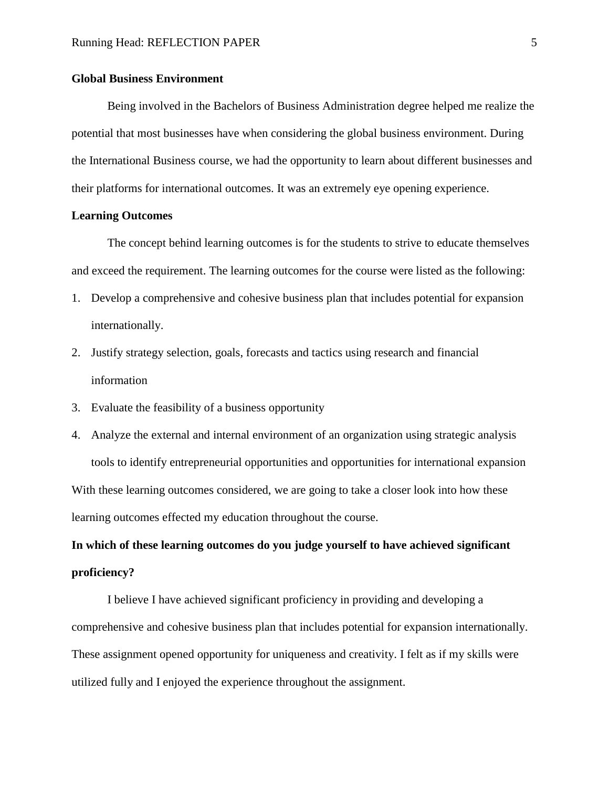#### **Global Business Environment**

Being involved in the Bachelors of Business Administration degree helped me realize the potential that most businesses have when considering the global business environment. During the International Business course, we had the opportunity to learn about different businesses and their platforms for international outcomes. It was an extremely eye opening experience.

#### **Learning Outcomes**

The concept behind learning outcomes is for the students to strive to educate themselves and exceed the requirement. The learning outcomes for the course were listed as the following:

- 1. Develop a comprehensive and cohesive business plan that includes potential for expansion internationally.
- 2. Justify strategy selection, goals, forecasts and tactics using research and financial information
- 3. Evaluate the feasibility of a business opportunity
- 4. Analyze the external and internal environment of an organization using strategic analysis tools to identify entrepreneurial opportunities and opportunities for international expansion With these learning outcomes considered, we are going to take a closer look into how these learning outcomes effected my education throughout the course.

## **In which of these learning outcomes do you judge yourself to have achieved significant proficiency?**

I believe I have achieved significant proficiency in providing and developing a comprehensive and cohesive business plan that includes potential for expansion internationally. These assignment opened opportunity for uniqueness and creativity. I felt as if my skills were utilized fully and I enjoyed the experience throughout the assignment.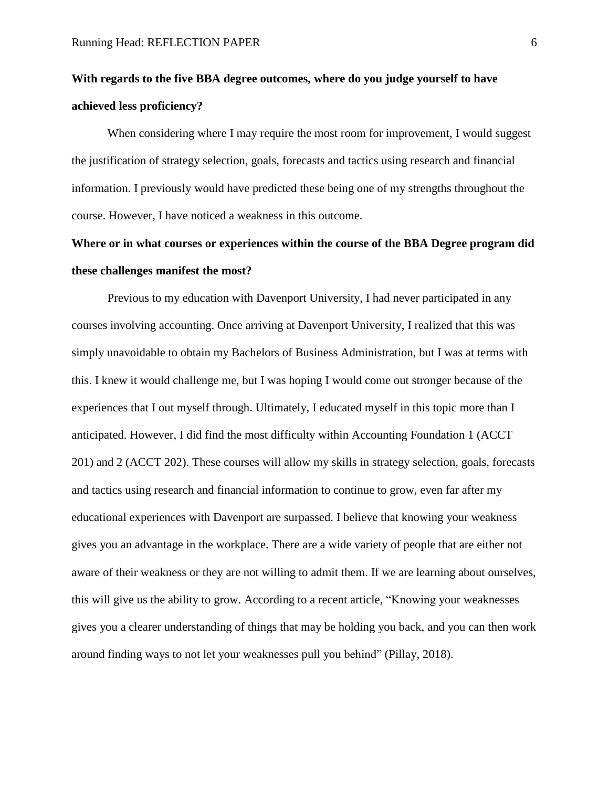# **With regards to the five BBA degree outcomes, where do you judge yourself to have achieved less proficiency?**

When considering where I may require the most room for improvement, I would suggest the justification of strategy selection, goals, forecasts and tactics using research and financial information. I previously would have predicted these being one of my strengths throughout the course. However, I have noticed a weakness in this outcome.

# **Where or in what courses or experiences within the course of the BBA Degree program did these challenges manifest the most?**

Previous to my education with Davenport University, I had never participated in any courses involving accounting. Once arriving at Davenport University, I realized that this was simply unavoidable to obtain my Bachelors of Business Administration, but I was at terms with this. I knew it would challenge me, but I was hoping I would come out stronger because of the experiences that I out myself through. Ultimately, I educated myself in this topic more than I anticipated. However, I did find the most difficulty within Accounting Foundation 1 (ACCT 201) and 2 (ACCT 202). These courses will allow my skills in strategy selection, goals, forecasts and tactics using research and financial information to continue to grow, even far after my educational experiences with Davenport are surpassed. I believe that knowing your weakness gives you an advantage in the workplace. There are a wide variety of people that are either not aware of their weakness or they are not willing to admit them. If we are learning about ourselves, this will give us the ability to grow. According to a recent article, "Knowing your weaknesses gives you a clearer understanding of things that may be holding you back, and you can then work around finding ways to not let your weaknesses pull you behind" (Pillay, 2018).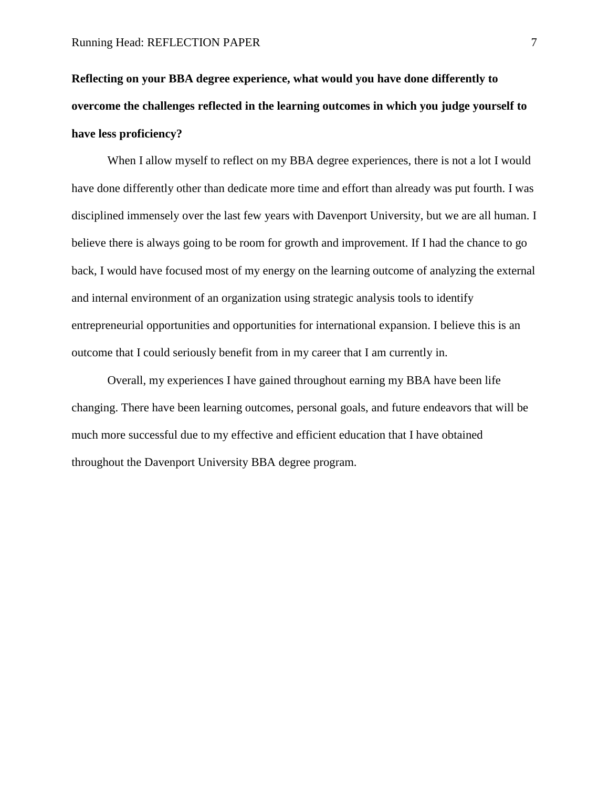# **Reflecting on your BBA degree experience, what would you have done differently to overcome the challenges reflected in the learning outcomes in which you judge yourself to have less proficiency?**

When I allow myself to reflect on my BBA degree experiences, there is not a lot I would have done differently other than dedicate more time and effort than already was put fourth. I was disciplined immensely over the last few years with Davenport University, but we are all human. I believe there is always going to be room for growth and improvement. If I had the chance to go back, I would have focused most of my energy on the learning outcome of analyzing the external and internal environment of an organization using strategic analysis tools to identify entrepreneurial opportunities and opportunities for international expansion. I believe this is an outcome that I could seriously benefit from in my career that I am currently in.

Overall, my experiences I have gained throughout earning my BBA have been life changing. There have been learning outcomes, personal goals, and future endeavors that will be much more successful due to my effective and efficient education that I have obtained throughout the Davenport University BBA degree program.